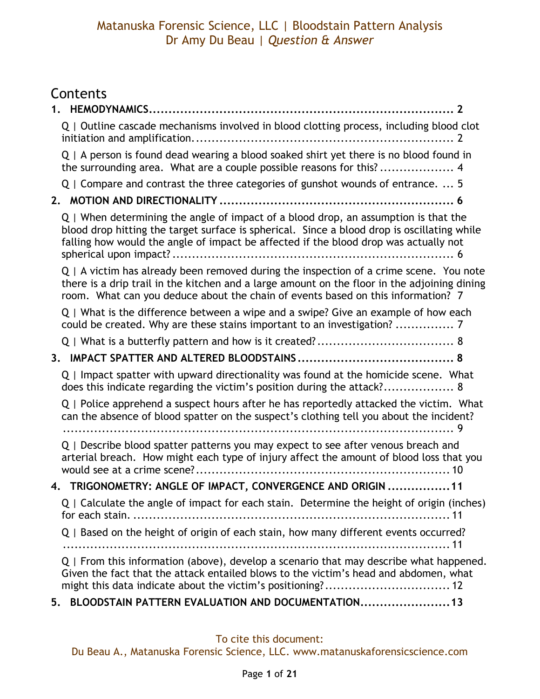# Contents

| Q   Outline cascade mechanisms involved in blood clotting process, including blood clot                                                                                                                                                                                         |
|---------------------------------------------------------------------------------------------------------------------------------------------------------------------------------------------------------------------------------------------------------------------------------|
| Q   A person is found dead wearing a blood soaked shirt yet there is no blood found in<br>the surrounding area. What are a couple possible reasons for this? 4                                                                                                                  |
| Q   Compare and contrast the three categories of gunshot wounds of entrance.  5                                                                                                                                                                                                 |
|                                                                                                                                                                                                                                                                                 |
| Q   When determining the angle of impact of a blood drop, an assumption is that the<br>blood drop hitting the target surface is spherical. Since a blood drop is oscillating while<br>falling how would the angle of impact be affected if the blood drop was actually not      |
| $Q \mid A$ victim has already been removed during the inspection of a crime scene. You note<br>there is a drip trail in the kitchen and a large amount on the floor in the adjoining dining<br>room. What can you deduce about the chain of events based on this information? 7 |
| Q   What is the difference between a wipe and a swipe? Give an example of how each<br>could be created. Why are these stains important to an investigation?  7                                                                                                                  |
|                                                                                                                                                                                                                                                                                 |
|                                                                                                                                                                                                                                                                                 |
| Q   Impact spatter with upward directionality was found at the homicide scene. What<br>does this indicate regarding the victim's position during the attack? 8                                                                                                                  |
| Q   Police apprehend a suspect hours after he has reportedly attacked the victim. What<br>can the absence of blood spatter on the suspect's clothing tell you about the incident?                                                                                               |
| Q   Describe blood spatter patterns you may expect to see after venous breach and<br>arterial breach. How might each type of injury affect the amount of blood loss that you                                                                                                    |
| 4. TRIGONOMETRY: ANGLE OF IMPACT, CONVERGENCE AND ORIGIN  11                                                                                                                                                                                                                    |
| Q   Calculate the angle of impact for each stain. Determine the height of origin (inches)                                                                                                                                                                                       |
| Q   Based on the height of origin of each stain, how many different events occurred?                                                                                                                                                                                            |
| Q   From this information (above), develop a scenario that may describe what happened.<br>Given the fact that the attack entailed blows to the victim's head and abdomen, what                                                                                                  |
| BLOODSTAIN PATTERN EVALUATION AND DOCUMENTATION 13<br>5.                                                                                                                                                                                                                        |

#### To cite this document: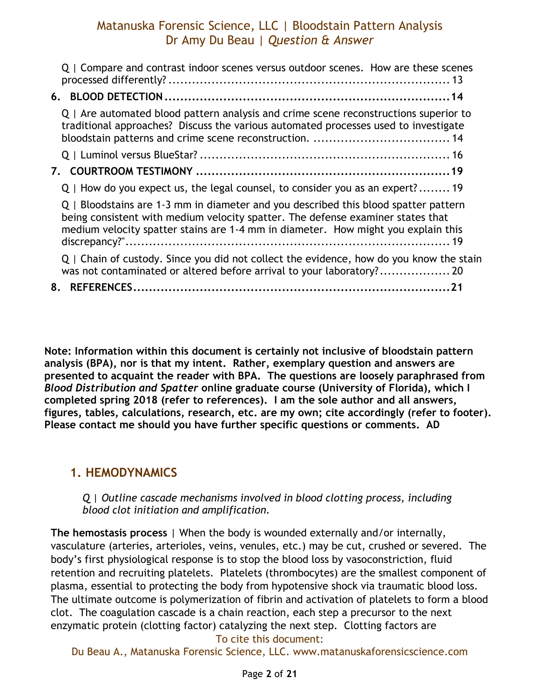| Q   Compare and contrast indoor scenes versus outdoor scenes. How are these scenes                                                                                                                                                                          |
|-------------------------------------------------------------------------------------------------------------------------------------------------------------------------------------------------------------------------------------------------------------|
|                                                                                                                                                                                                                                                             |
| Q   Are automated blood pattern analysis and crime scene reconstructions superior to<br>traditional approaches? Discuss the various automated processes used to investigate                                                                                 |
|                                                                                                                                                                                                                                                             |
|                                                                                                                                                                                                                                                             |
| Q   How do you expect us, the legal counsel, to consider you as an expert? 19                                                                                                                                                                               |
| Q   Bloodstains are 1-3 mm in diameter and you described this blood spatter pattern<br>being consistent with medium velocity spatter. The defense examiner states that<br>medium velocity spatter stains are 1-4 mm in diameter. How might you explain this |
| Q   Chain of custody. Since you did not collect the evidence, how do you know the stain                                                                                                                                                                     |
| 8.                                                                                                                                                                                                                                                          |

**Note: Information within this document is certainly not inclusive of bloodstain pattern analysis (BPA), nor is that my intent. Rather, exemplary question and answers are presented to acquaint the reader with BPA. The questions are loosely paraphrased from**  *Blood Distribution and Spatter* **online graduate course (University of Florida), which I completed spring 2018 (refer to references). I am the sole author and all answers, figures, tables, calculations, research, etc. are my own; cite accordingly (refer to footer). Please contact me should you have further specific questions or comments. AD**

### <span id="page-1-0"></span>**1. HEMODYNAMICS**

#### <span id="page-1-1"></span>*Q | Outline cascade mechanisms involved in blood clotting process, including blood clot initiation and amplification.*

**The hemostasis process** | When the body is wounded externally and/or internally, vasculature (arteries, arterioles, veins, venules, etc.) may be cut, crushed or severed. The body's first physiological response is to stop the blood loss by vasoconstriction, fluid retention and recruiting platelets. Platelets (thrombocytes) are the smallest component of plasma, essential to protecting the body from hypotensive shock via traumatic blood loss. The ultimate outcome is polymerization of fibrin and activation of platelets to form a blood clot. The coagulation cascade is a chain reaction, each step a precursor to the next enzymatic protein (clotting factor) catalyzing the next step. Clotting factors are

#### To cite this document: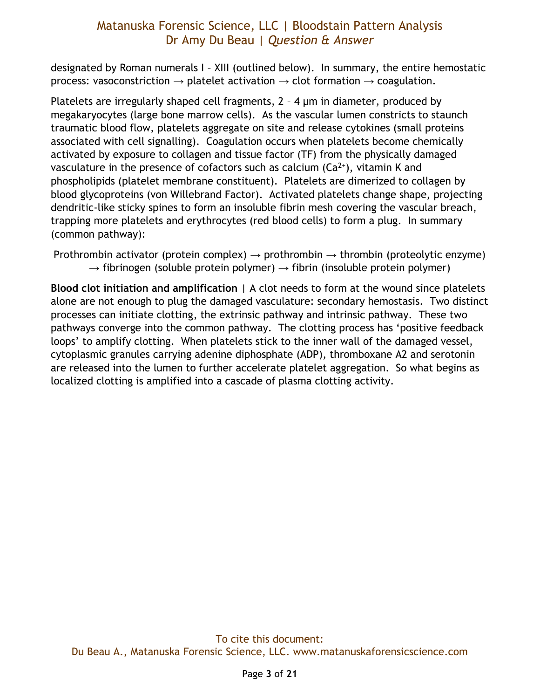designated by Roman numerals I – XIII (outlined below). In summary, the entire hemostatic process: vasoconstriction  $\rightarrow$  platelet activation  $\rightarrow$  clot formation  $\rightarrow$  coagulation.

Platelets are irregularly shaped cell fragments, 2 – 4 μm in diameter, produced by megakaryocytes (large bone marrow cells). As the vascular lumen constricts to staunch traumatic blood flow, platelets aggregate on site and release cytokines (small proteins associated with cell signalling). Coagulation occurs when platelets become chemically activated by exposure to collagen and tissue factor (TF) from the physically damaged vasculature in the presence of cofactors such as calcium  $(Ca^{2+})$ , vitamin K and phospholipids (platelet membrane constituent). Platelets are dimerized to collagen by blood glycoproteins (von Willebrand Factor). Activated platelets change shape, projecting dendritic-like sticky spines to form an insoluble fibrin mesh covering the vascular breach, trapping more platelets and erythrocytes (red blood cells) to form a plug. In summary (common pathway):

Prothrombin activator (protein complex)  $\rightarrow$  prothrombin  $\rightarrow$  thrombin (proteolytic enzyme)  $\rightarrow$  fibrinogen (soluble protein polymer)  $\rightarrow$  fibrin (insoluble protein polymer)

**Blood clot initiation and amplification** | A clot needs to form at the wound since platelets alone are not enough to plug the damaged vasculature: secondary hemostasis. Two distinct processes can initiate clotting, the extrinsic pathway and intrinsic pathway. These two pathways converge into the common pathway. The clotting process has 'positive feedback loops' to amplify clotting. When platelets stick to the inner wall of the damaged vessel, cytoplasmic granules carrying adenine diphosphate (ADP), thromboxane A2 and serotonin are released into the lumen to further accelerate platelet aggregation. So what begins as localized clotting is amplified into a cascade of plasma clotting activity.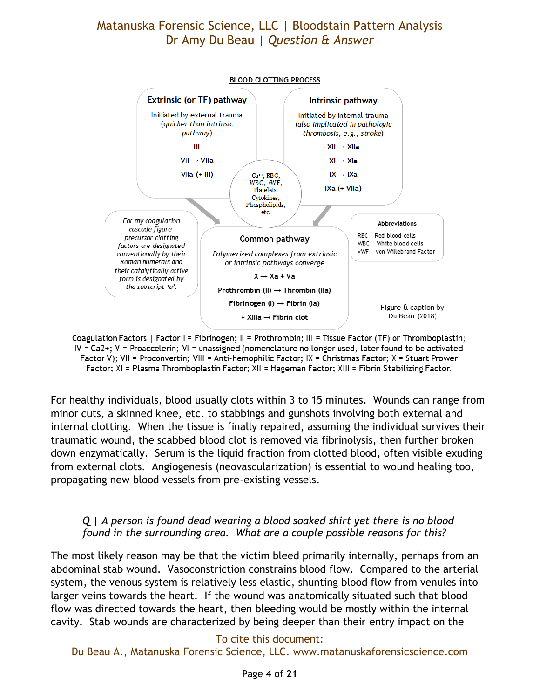

Coagulation Factors | Factor I = Fibrinogen; II = Prothrombin; III = Tissue Factor (TF) or Thromboplastin; IV = Ca2+; V = Proaccelerin; VI = unassigned (nomenclature no longer used, later found to be activated Factor V); VII = Proconvertin; VIII = Anti-hemophilic Factor; IX = Christmas Factor; X = Stuart Prower Factor; XI = Plasma Thromboplastin Factor; XII = Hageman Factor; XIII = Fibrin Stabilizing Factor.

For healthy individuals, blood usually clots within 3 to 15 minutes. Wounds can range from minor cuts, a skinned knee, etc. to stabbings and gunshots involving both external and internal clotting. When the tissue is finally repaired, assuming the individual survives their traumatic wound, the scabbed blood clot is removed via fibrinolysis, then further broken down enzymatically. Serum is the liquid fraction from clotted blood, often visible exuding from external clots. Angiogenesis (neovascularization) is essential to wound healing too, propagating new blood vessels from pre-existing vessels.

#### <span id="page-3-0"></span>*Q | A person is found dead wearing a blood soaked shirt yet there is no blood found in the surrounding area. What are a couple possible reasons for this?*

The most likely reason may be that the victim bleed primarily internally, perhaps from an abdominal stab wound. Vasoconstriction constrains blood flow. Compared to the arterial system, the venous system is relatively less elastic, shunting blood flow from venules into larger veins towards the heart. If the wound was anatomically situated such that blood flow was directed towards the heart, then bleeding would be mostly within the internal cavity. Stab wounds are characterized by being deeper than their entry impact on the

#### To cite this document: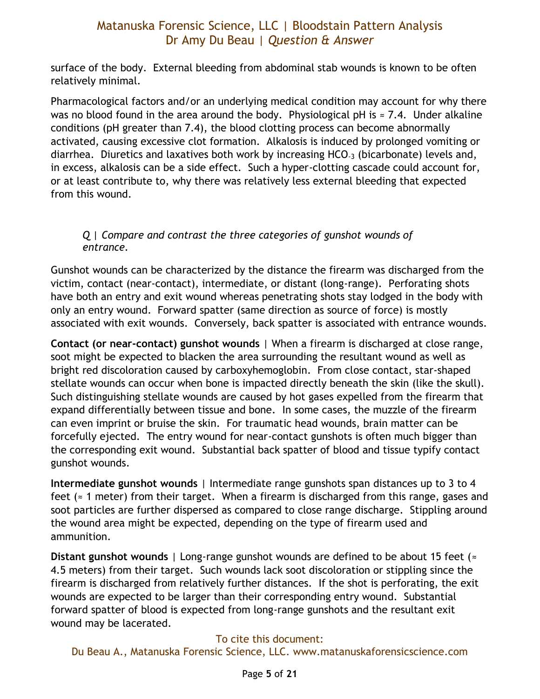surface of the body. External bleeding from abdominal stab wounds is known to be often relatively minimal.

Pharmacological factors and/or an underlying medical condition may account for why there was no blood found in the area around the body. Physiological pH is  $\approx$  7.4. Under alkaline conditions (pH greater than 7.4), the blood clotting process can become abnormally activated, causing excessive clot formation. Alkalosis is induced by prolonged vomiting or diarrhea. Diuretics and laxatives both work by increasing HCO-3 (bicarbonate) levels and, in excess, alkalosis can be a side effect. Such a hyper-clotting cascade could account for, or at least contribute to, why there was relatively less external bleeding that expected from this wound.

#### <span id="page-4-0"></span>*Q | Compare and contrast the three categories of gunshot wounds of entrance.*

Gunshot wounds can be characterized by the distance the firearm was discharged from the victim, contact (near-contact), intermediate, or distant (long-range). Perforating shots have both an entry and exit wound whereas penetrating shots stay lodged in the body with only an entry wound. Forward spatter (same direction as source of force) is mostly associated with exit wounds. Conversely, back spatter is associated with entrance wounds.

**Contact (or near-contact) gunshot wounds** | When a firearm is discharged at close range, soot might be expected to blacken the area surrounding the resultant wound as well as bright red discoloration caused by carboxyhemoglobin. From close contact, star-shaped stellate wounds can occur when bone is impacted directly beneath the skin (like the skull). Such distinguishing stellate wounds are caused by hot gases expelled from the firearm that expand differentially between tissue and bone. In some cases, the muzzle of the firearm can even imprint or bruise the skin. For traumatic head wounds, brain matter can be forcefully ejected. The entry wound for near-contact gunshots is often much bigger than the corresponding exit wound. Substantial back spatter of blood and tissue typify contact gunshot wounds.

**Intermediate gunshot wounds** | Intermediate range gunshots span distances up to 3 to 4 feet ( $\approx$  1 meter) from their target. When a firearm is discharged from this range, gases and soot particles are further dispersed as compared to close range discharge. Stippling around the wound area might be expected, depending on the type of firearm used and ammunition.

**Distant gunshot wounds** | Long-range gunshot wounds are defined to be about 15 feet (≈ 4.5 meters) from their target. Such wounds lack soot discoloration or stippling since the firearm is discharged from relatively further distances. If the shot is perforating, the exit wounds are expected to be larger than their corresponding entry wound. Substantial forward spatter of blood is expected from long-range gunshots and the resultant exit wound may be lacerated.

#### To cite this document: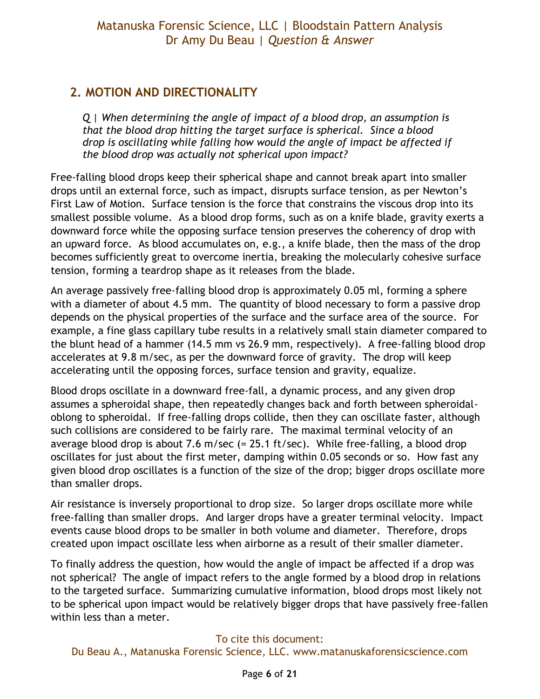# <span id="page-5-0"></span>**2. MOTION AND DIRECTIONALITY**

<span id="page-5-1"></span>*Q | When determining the angle of impact of a blood drop, an assumption is that the blood drop hitting the target surface is spherical. Since a blood drop is oscillating while falling how would the angle of impact be affected if the blood drop was actually not spherical upon impact?* 

Free-falling blood drops keep their spherical shape and cannot break apart into smaller drops until an external force, such as impact, disrupts surface tension, as per Newton's First Law of Motion. Surface tension is the force that constrains the viscous drop into its smallest possible volume. As a blood drop forms, such as on a knife blade, gravity exerts a downward force while the opposing surface tension preserves the coherency of drop with an upward force. As blood accumulates on, e.g., a knife blade, then the mass of the drop becomes sufficiently great to overcome inertia, breaking the molecularly cohesive surface tension, forming a teardrop shape as it releases from the blade.

An average passively free-falling blood drop is approximately 0.05 ml, forming a sphere with a diameter of about 4.5 mm. The quantity of blood necessary to form a passive drop depends on the physical properties of the surface and the surface area of the source. For example, a fine glass capillary tube results in a relatively small stain diameter compared to the blunt head of a hammer (14.5 mm vs 26.9 mm, respectively). A free-falling blood drop accelerates at 9.8 m/sec, as per the downward force of gravity. The drop will keep accelerating until the opposing forces, surface tension and gravity, equalize.

Blood drops oscillate in a downward free-fall, a dynamic process, and any given drop assumes a spheroidal shape, then repeatedly changes back and forth between spheroidaloblong to spheroidal. If free-falling drops collide, then they can oscillate faster, although such collisions are considered to be fairly rare. The maximal terminal velocity of an average blood drop is about 7.6 m/sec (= 25.1 ft/sec). While free-falling, a blood drop oscillates for just about the first meter, damping within 0.05 seconds or so. How fast any given blood drop oscillates is a function of the size of the drop; bigger drops oscillate more than smaller drops.

Air resistance is inversely proportional to drop size. So larger drops oscillate more while free-falling than smaller drops. And larger drops have a greater terminal velocity. Impact events cause blood drops to be smaller in both volume and diameter. Therefore, drops created upon impact oscillate less when airborne as a result of their smaller diameter.

To finally address the question, how would the angle of impact be affected if a drop was not spherical? The angle of impact refers to the angle formed by a blood drop in relations to the targeted surface. Summarizing cumulative information, blood drops most likely not to be spherical upon impact would be relatively bigger drops that have passively free-fallen within less than a meter.

#### To cite this document: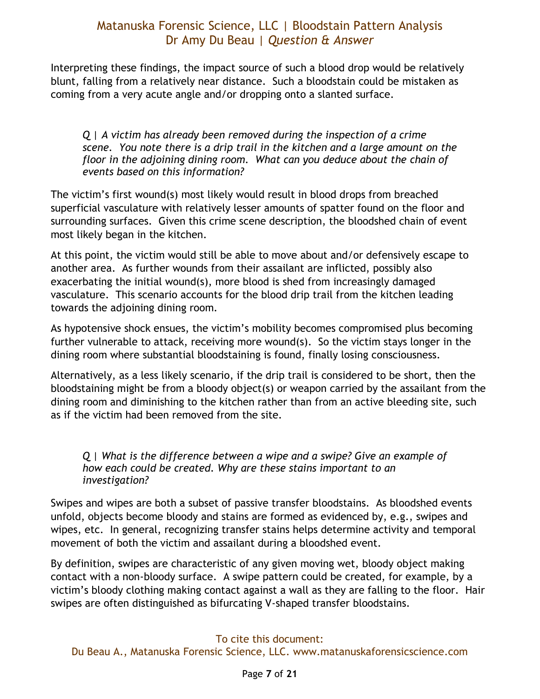Interpreting these findings, the impact source of such a blood drop would be relatively blunt, falling from a relatively near distance. Such a bloodstain could be mistaken as coming from a very acute angle and/or dropping onto a slanted surface.

<span id="page-6-0"></span>*Q | A victim has already been removed during the inspection of a crime scene. You note there is a drip trail in the kitchen and a large amount on the floor in the adjoining dining room. What can you deduce about the chain of events based on this information?* 

The victim's first wound(s) most likely would result in blood drops from breached superficial vasculature with relatively lesser amounts of spatter found on the floor and surrounding surfaces. Given this crime scene description, the bloodshed chain of event most likely began in the kitchen.

At this point, the victim would still be able to move about and/or defensively escape to another area. As further wounds from their assailant are inflicted, possibly also exacerbating the initial wound(s), more blood is shed from increasingly damaged vasculature. This scenario accounts for the blood drip trail from the kitchen leading towards the adjoining dining room.

As hypotensive shock ensues, the victim's mobility becomes compromised plus becoming further vulnerable to attack, receiving more wound(s). So the victim stays longer in the dining room where substantial bloodstaining is found, finally losing consciousness.

Alternatively, as a less likely scenario, if the drip trail is considered to be short, then the bloodstaining might be from a bloody object(s) or weapon carried by the assailant from the dining room and diminishing to the kitchen rather than from an active bleeding site, such as if the victim had been removed from the site.

#### <span id="page-6-1"></span>*Q | What is the difference between a wipe and a swipe? Give an example of how each could be created. Why are these stains important to an investigation?*

Swipes and wipes are both a subset of passive transfer bloodstains. As bloodshed events unfold, objects become bloody and stains are formed as evidenced by, e.g., swipes and wipes, etc. In general, recognizing transfer stains helps determine activity and temporal movement of both the victim and assailant during a bloodshed event.

By definition, swipes are characteristic of any given moving wet, bloody object making contact with a non-bloody surface. A swipe pattern could be created, for example, by a victim's bloody clothing making contact against a wall as they are falling to the floor. Hair swipes are often distinguished as bifurcating V-shaped transfer bloodstains.

#### To cite this document: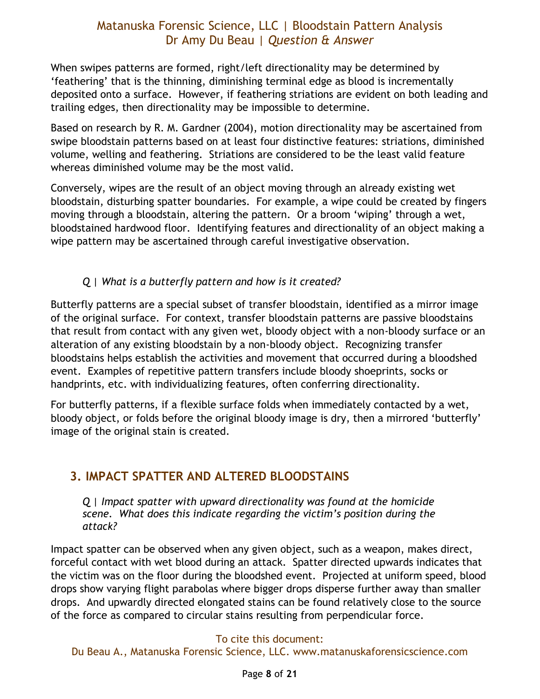When swipes patterns are formed, right/left directionality may be determined by 'feathering' that is the thinning, diminishing terminal edge as blood is incrementally deposited onto a surface. However, if feathering striations are evident on both leading and trailing edges, then directionality may be impossible to determine.

Based on research by R. M. Gardner (2004), motion directionality may be ascertained from swipe bloodstain patterns based on at least four distinctive features: striations, diminished volume, welling and feathering. Striations are considered to be the least valid feature whereas diminished volume may be the most valid.

Conversely, wipes are the result of an object moving through an already existing wet bloodstain, disturbing spatter boundaries. For example, a wipe could be created by fingers moving through a bloodstain, altering the pattern. Or a broom 'wiping' through a wet, bloodstained hardwood floor. Identifying features and directionality of an object making a wipe pattern may be ascertained through careful investigative observation.

#### *Q | What is a butterfly pattern and how is it created?*

<span id="page-7-0"></span>Butterfly patterns are a special subset of transfer bloodstain, identified as a mirror image of the original surface. For context, transfer bloodstain patterns are passive bloodstains that result from contact with any given wet, bloody object with a non-bloody surface or an alteration of any existing bloodstain by a non-bloody object. Recognizing transfer bloodstains helps establish the activities and movement that occurred during a bloodshed event. Examples of repetitive pattern transfers include bloody shoeprints, socks or handprints, etc. with individualizing features, often conferring directionality.

For butterfly patterns, if a flexible surface folds when immediately contacted by a wet, bloody object, or folds before the original bloody image is dry, then a mirrored 'butterfly' image of the original stain is created.

# <span id="page-7-1"></span>**3. IMPACT SPATTER AND ALTERED BLOODSTAINS**

<span id="page-7-2"></span>*Q | Impact spatter with upward directionality was found at the homicide scene. What does this indicate regarding the victim's position during the attack?* 

Impact spatter can be observed when any given object, such as a weapon, makes direct, forceful contact with wet blood during an attack. Spatter directed upwards indicates that the victim was on the floor during the bloodshed event. Projected at uniform speed, blood drops show varying flight parabolas where bigger drops disperse further away than smaller drops. And upwardly directed elongated stains can be found relatively close to the source of the force as compared to circular stains resulting from perpendicular force.

#### To cite this document: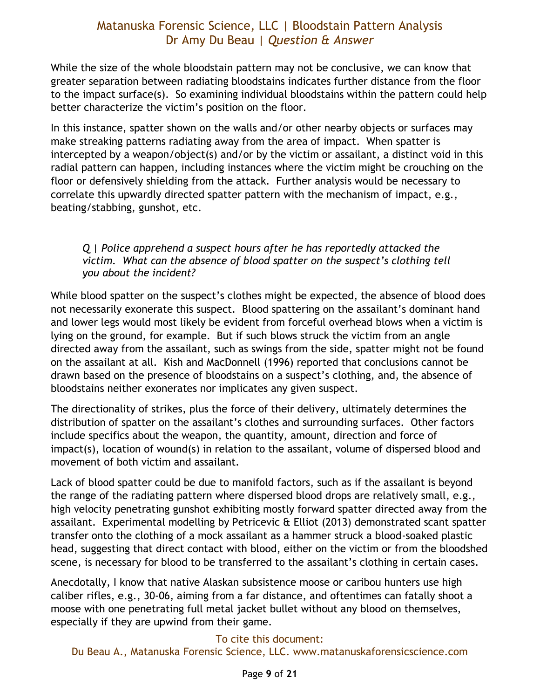While the size of the whole bloodstain pattern may not be conclusive, we can know that greater separation between radiating bloodstains indicates further distance from the floor to the impact surface(s). So examining individual bloodstains within the pattern could help better characterize the victim's position on the floor.

In this instance, spatter shown on the walls and/or other nearby objects or surfaces may make streaking patterns radiating away from the area of impact. When spatter is intercepted by a weapon/object(s) and/or by the victim or assailant, a distinct void in this radial pattern can happen, including instances where the victim might be crouching on the floor or defensively shielding from the attack. Further analysis would be necessary to correlate this upwardly directed spatter pattern with the mechanism of impact, e.g., beating/stabbing, gunshot, etc.

#### <span id="page-8-0"></span>*Q | Police apprehend a suspect hours after he has reportedly attacked the victim. What can the absence of blood spatter on the suspect's clothing tell you about the incident?*

While blood spatter on the suspect's clothes might be expected, the absence of blood does not necessarily exonerate this suspect. Blood spattering on the assailant's dominant hand and lower legs would most likely be evident from forceful overhead blows when a victim is lying on the ground, for example. But if such blows struck the victim from an angle directed away from the assailant, such as swings from the side, spatter might not be found on the assailant at all. Kish and MacDonnell (1996) reported that conclusions cannot be drawn based on the presence of bloodstains on a suspect's clothing, and, the absence of bloodstains neither exonerates nor implicates any given suspect.

The directionality of strikes, plus the force of their delivery, ultimately determines the distribution of spatter on the assailant's clothes and surrounding surfaces. Other factors include specifics about the weapon, the quantity, amount, direction and force of impact(s), location of wound(s) in relation to the assailant, volume of dispersed blood and movement of both victim and assailant.

Lack of blood spatter could be due to manifold factors, such as if the assailant is beyond the range of the radiating pattern where dispersed blood drops are relatively small, e.g., high velocity penetrating gunshot exhibiting mostly forward spatter directed away from the assailant. Experimental modelling by Petricevic & Elliot (2013) demonstrated scant spatter transfer onto the clothing of a mock assailant as a hammer struck a blood-soaked plastic head, suggesting that direct contact with blood, either on the victim or from the bloodshed scene, is necessary for blood to be transferred to the assailant's clothing in certain cases.

Anecdotally, I know that native Alaskan subsistence moose or caribou hunters use high caliber rifles, e.g., 30-06, aiming from a far distance, and oftentimes can fatally shoot a moose with one penetrating full metal jacket bullet without any blood on themselves, especially if they are upwind from their game.

#### To cite this document: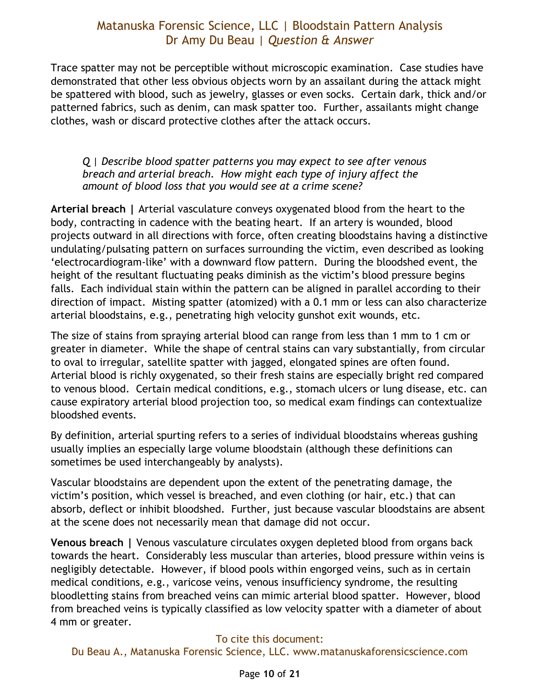Trace spatter may not be perceptible without microscopic examination. Case studies have demonstrated that other less obvious objects worn by an assailant during the attack might be spattered with blood, such as jewelry, glasses or even socks. Certain dark, thick and/or patterned fabrics, such as denim, can mask spatter too. Further, assailants might change clothes, wash or discard protective clothes after the attack occurs.

#### <span id="page-9-0"></span>*Q | Describe blood spatter patterns you may expect to see after venous breach and arterial breach. How might each type of injury affect the amount of blood loss that you would see at a crime scene?*

**Arterial breach |** Arterial vasculature conveys oxygenated blood from the heart to the body, contracting in cadence with the beating heart. If an artery is wounded, blood projects outward in all directions with force, often creating bloodstains having a distinctive undulating/pulsating pattern on surfaces surrounding the victim, even described as looking 'electrocardiogram-like' with a downward flow pattern. During the bloodshed event, the height of the resultant fluctuating peaks diminish as the victim's blood pressure begins falls. Each individual stain within the pattern can be aligned in parallel according to their direction of impact. Misting spatter (atomized) with a 0.1 mm or less can also characterize arterial bloodstains, e.g., penetrating high velocity gunshot exit wounds, etc.

The size of stains from spraying arterial blood can range from less than 1 mm to 1 cm or greater in diameter. While the shape of central stains can vary substantially, from circular to oval to irregular, satellite spatter with jagged, elongated spines are often found. Arterial blood is richly oxygenated, so their fresh stains are especially bright red compared to venous blood. Certain medical conditions, e.g., stomach ulcers or lung disease, etc. can cause expiratory arterial blood projection too, so medical exam findings can contextualize bloodshed events.

By definition, arterial spurting refers to a series of individual bloodstains whereas gushing usually implies an especially large volume bloodstain (although these definitions can sometimes be used interchangeably by analysts).

Vascular bloodstains are dependent upon the extent of the penetrating damage, the victim's position, which vessel is breached, and even clothing (or hair, etc.) that can absorb, deflect or inhibit bloodshed. Further, just because vascular bloodstains are absent at the scene does not necessarily mean that damage did not occur.

**Venous breach |** Venous vasculature circulates oxygen depleted blood from organs back towards the heart. Considerably less muscular than arteries, blood pressure within veins is negligibly detectable. However, if blood pools within engorged veins, such as in certain medical conditions, e.g., varicose veins, venous insufficiency syndrome, the resulting bloodletting stains from breached veins can mimic arterial blood spatter. However, blood from breached veins is typically classified as low velocity spatter with a diameter of about 4 mm or greater.

#### To cite this document: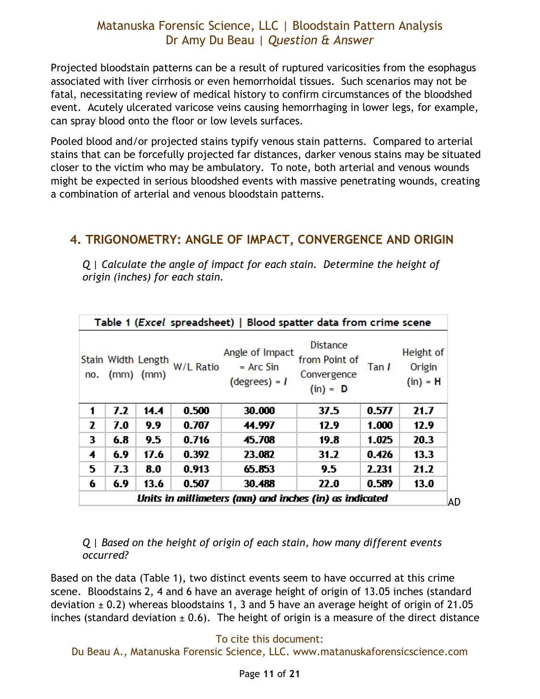Projected bloodstain patterns can be a result of ruptured varicosities from the esophagus associated with liver cirrhosis or even hemorrhoidal tissues. Such scenarios may not be fatal, necessitating review of medical history to confirm circumstances of the bloodshed event. Acutely ulcerated varicose veins causing hemorrhaging in lower legs, for example, can spray blood onto the floor or low levels surfaces.

Pooled blood and/or projected stains typify venous stain patterns. Compared to arterial stains that can be forcefully projected far distances, darker venous stains may be situated closer to the victim who may be ambulatory. To note, both arterial and venous wounds might be expected in serious bloodshed events with massive penetrating wounds, creating a combination of arterial and venous bloodstain patterns.

### <span id="page-10-0"></span>**4. TRIGONOMETRY: ANGLE OF IMPACT, CONVERGENCE AND ORIGIN**

<span id="page-10-1"></span>*Q | Calculate the angle of impact for each stain. Determine the height of origin (inches) for each stain.* 

| no.                                                    |     | $(mm)$ $(mm)$ | Stain Width Length W/L Ratio | Angle of Impact<br>$=$ Arc Sin<br>$(degrees) = I$ | <b>Distance</b><br>from Point of<br>Convergence<br>$(in) = D$ | Tan I | Height of<br>Origin<br>$(in) = H$ |    |
|--------------------------------------------------------|-----|---------------|------------------------------|---------------------------------------------------|---------------------------------------------------------------|-------|-----------------------------------|----|
| 1                                                      | 7.2 | 14.4          | 0.500                        | 30.000                                            | 37.5                                                          | 0.577 | 21.7                              |    |
| 2                                                      | 7.0 | 9.9           | 0.707                        | 44.997                                            | 12.9                                                          | 1.000 | 12.9                              |    |
| 3                                                      | 6.8 | 9.5           | 0.716                        | 45.708                                            | 19.8                                                          | 1.025 | 20.3                              |    |
| 4                                                      | 6.9 | 17.6          | 0.392                        | 23.082                                            | 31.2                                                          | 0.426 | 13.3                              |    |
| 5                                                      | 7.3 | 8.0           | 0.913                        | 65.853                                            | 9.5                                                           | 2.231 | 21.2                              |    |
| 6                                                      | 6.9 | 13.6          | 0.507                        | 30.488                                            | 22.0                                                          | 0.589 | 13.0                              |    |
| Units in millimeters (mm) and inches (in) as indicated |     |               |                              |                                                   |                                                               |       |                                   | AD |

#### Table 1 (Excel spreadsheet) | Blood spatter data from crime scene

<span id="page-10-2"></span>*Q | Based on the height of origin of each stain, how many different events occurred?* 

Based on the data (Table 1), two distinct events seem to have occurred at this crime scene. Bloodstains 2, 4 and 6 have an average height of origin of 13.05 inches (standard deviation  $\pm$  0.2) whereas bloodstains 1, 3 and 5 have an average height of origin of 21.05 inches (standard deviation  $\pm$  0.6). The height of origin is a measure of the direct distance

#### To cite this document: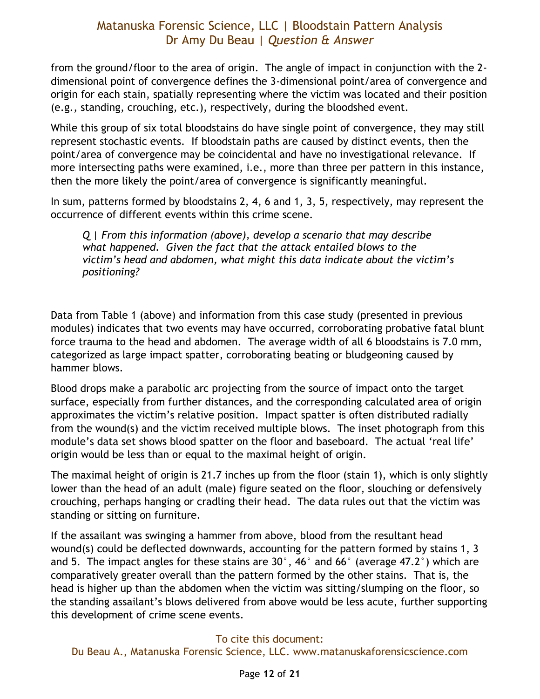from the ground/floor to the area of origin. The angle of impact in conjunction with the 2 dimensional point of convergence defines the 3-dimensional point/area of convergence and origin for each stain, spatially representing where the victim was located and their position (e.g., standing, crouching, etc.), respectively, during the bloodshed event.

While this group of six total bloodstains do have single point of convergence, they may still represent stochastic events. If bloodstain paths are caused by distinct events, then the point/area of convergence may be coincidental and have no investigational relevance. If more intersecting paths were examined, i.e., more than three per pattern in this instance, then the more likely the point/area of convergence is significantly meaningful.

<span id="page-11-0"></span>In sum, patterns formed by bloodstains 2, 4, 6 and 1, 3, 5, respectively, may represent the occurrence of different events within this crime scene.

*Q | From this information (above), develop a scenario that may describe what happened. Given the fact that the attack entailed blows to the victim's head and abdomen, what might this data indicate about the victim's positioning?* 

Data from Table 1 (above) and information from this case study (presented in previous modules) indicates that two events may have occurred, corroborating probative fatal blunt force trauma to the head and abdomen. The average width of all 6 bloodstains is 7.0 mm, categorized as large impact spatter, corroborating beating or bludgeoning caused by hammer blows.

Blood drops make a parabolic arc projecting from the source of impact onto the target surface, especially from further distances, and the corresponding calculated area of origin approximates the victim's relative position. Impact spatter is often distributed radially from the wound(s) and the victim received multiple blows. The inset photograph from this module's data set shows blood spatter on the floor and baseboard. The actual 'real life' origin would be less than or equal to the maximal height of origin.

The maximal height of origin is 21.7 inches up from the floor (stain 1), which is only slightly lower than the head of an adult (male) figure seated on the floor, slouching or defensively crouching, perhaps hanging or cradling their head. The data rules out that the victim was standing or sitting on furniture.

If the assailant was swinging a hammer from above, blood from the resultant head wound(s) could be deflected downwards, accounting for the pattern formed by stains 1, 3 and 5. The impact angles for these stains are 30°, 46° and 66° (average 47.2°) which are comparatively greater overall than the pattern formed by the other stains. That is, the head is higher up than the abdomen when the victim was sitting/slumping on the floor, so the standing assailant's blows delivered from above would be less acute, further supporting this development of crime scene events.

#### To cite this document: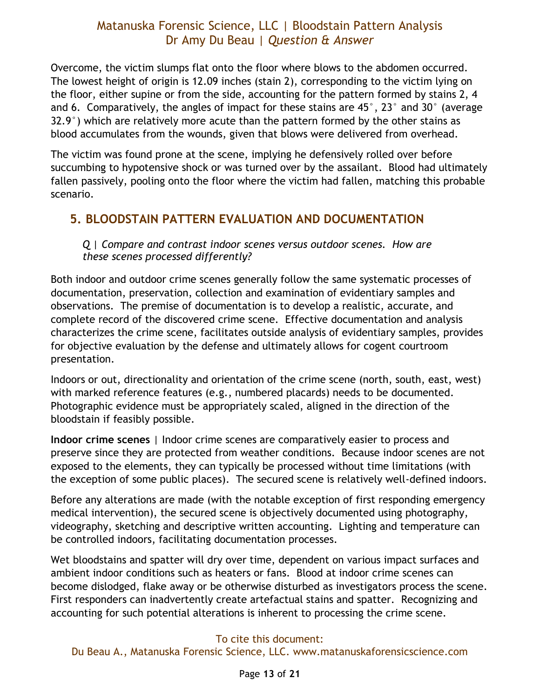Overcome, the victim slumps flat onto the floor where blows to the abdomen occurred. The lowest height of origin is 12.09 inches (stain 2), corresponding to the victim lying on the floor, either supine or from the side, accounting for the pattern formed by stains 2, 4 and 6. Comparatively, the angles of impact for these stains are 45°, 23° and 30° (average  $32.9^{\circ}$ ) which are relatively more acute than the pattern formed by the other stains as blood accumulates from the wounds, given that blows were delivered from overhead.

The victim was found prone at the scene, implying he defensively rolled over before succumbing to hypotensive shock or was turned over by the assailant. Blood had ultimately fallen passively, pooling onto the floor where the victim had fallen, matching this probable scenario.

### <span id="page-12-1"></span><span id="page-12-0"></span>**5. BLOODSTAIN PATTERN EVALUATION AND DOCUMENTATION**

*Q | Compare and contrast indoor scenes versus outdoor scenes. How are these scenes processed differently?* 

Both indoor and outdoor crime scenes generally follow the same systematic processes of documentation, preservation, collection and examination of evidentiary samples and observations. The premise of documentation is to develop a realistic, accurate, and complete record of the discovered crime scene. Effective documentation and analysis characterizes the crime scene, facilitates outside analysis of evidentiary samples, provides for objective evaluation by the defense and ultimately allows for cogent courtroom presentation.

Indoors or out, directionality and orientation of the crime scene (north, south, east, west) with marked reference features (e.g., numbered placards) needs to be documented. Photographic evidence must be appropriately scaled, aligned in the direction of the bloodstain if feasibly possible.

**Indoor crime scenes** | Indoor crime scenes are comparatively easier to process and preserve since they are protected from weather conditions. Because indoor scenes are not exposed to the elements, they can typically be processed without time limitations (with the exception of some public places). The secured scene is relatively well-defined indoors.

Before any alterations are made (with the notable exception of first responding emergency medical intervention), the secured scene is objectively documented using photography, videography, sketching and descriptive written accounting. Lighting and temperature can be controlled indoors, facilitating documentation processes.

Wet bloodstains and spatter will dry over time, dependent on various impact surfaces and ambient indoor conditions such as heaters or fans. Blood at indoor crime scenes can become dislodged, flake away or be otherwise disturbed as investigators process the scene. First responders can inadvertently create artefactual stains and spatter. Recognizing and accounting for such potential alterations is inherent to processing the crime scene.

#### To cite this document: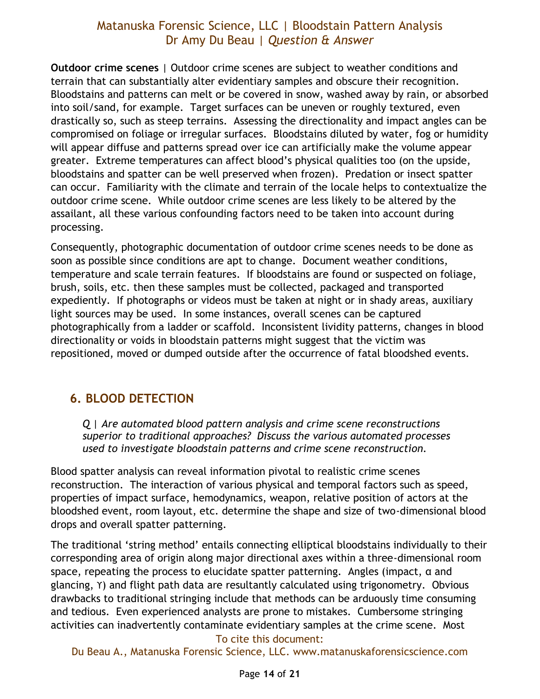**Outdoor crime scenes** | Outdoor crime scenes are subject to weather conditions and terrain that can substantially alter evidentiary samples and obscure their recognition. Bloodstains and patterns can melt or be covered in snow, washed away by rain, or absorbed into soil/sand, for example. Target surfaces can be uneven or roughly textured, even drastically so, such as steep terrains. Assessing the directionality and impact angles can be compromised on foliage or irregular surfaces. Bloodstains diluted by water, fog or humidity will appear diffuse and patterns spread over ice can artificially make the volume appear greater. Extreme temperatures can affect blood's physical qualities too (on the upside, bloodstains and spatter can be well preserved when frozen). Predation or insect spatter can occur. Familiarity with the climate and terrain of the locale helps to contextualize the outdoor crime scene. While outdoor crime scenes are less likely to be altered by the assailant, all these various confounding factors need to be taken into account during processing.

Consequently, photographic documentation of outdoor crime scenes needs to be done as soon as possible since conditions are apt to change. Document weather conditions, temperature and scale terrain features. If bloodstains are found or suspected on foliage, brush, soils, etc. then these samples must be collected, packaged and transported expediently. If photographs or videos must be taken at night or in shady areas, auxiliary light sources may be used. In some instances, overall scenes can be captured photographically from a ladder or scaffold. Inconsistent lividity patterns, changes in blood directionality or voids in bloodstain patterns might suggest that the victim was repositioned, moved or dumped outside after the occurrence of fatal bloodshed events.

### <span id="page-13-1"></span><span id="page-13-0"></span>**6. BLOOD DETECTION**

*Q | Are automated blood pattern analysis and crime scene reconstructions superior to traditional approaches? Discuss the various automated processes used to investigate bloodstain patterns and crime scene reconstruction.* 

Blood spatter analysis can reveal information pivotal to realistic crime scenes reconstruction. The interaction of various physical and temporal factors such as speed, properties of impact surface, hemodynamics, weapon, relative position of actors at the bloodshed event, room layout, etc. determine the shape and size of two-dimensional blood drops and overall spatter patterning.

The traditional 'string method' entails connecting elliptical bloodstains individually to their corresponding area of origin along major directional axes within a three-dimensional room space, repeating the process to elucidate spatter patterning. Angles (impact, α and glancing, ϒ) and flight path data are resultantly calculated using trigonometry. Obvious drawbacks to traditional stringing include that methods can be arduously time consuming and tedious. Even experienced analysts are prone to mistakes. Cumbersome stringing activities can inadvertently contaminate evidentiary samples at the crime scene. Most

#### To cite this document: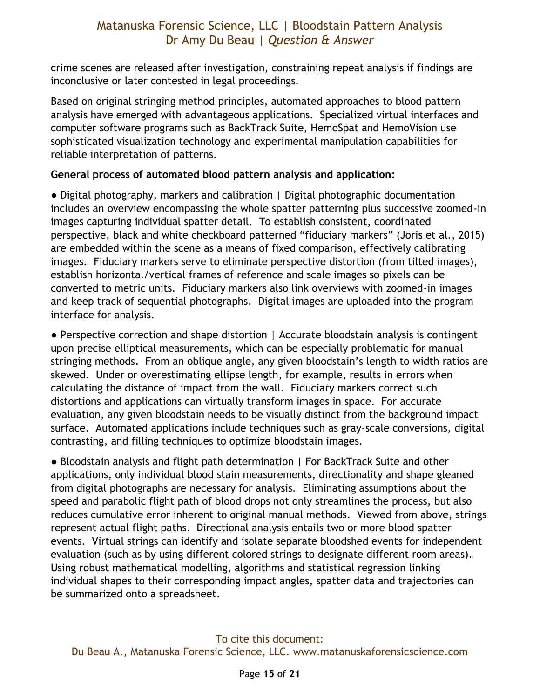crime scenes are released after investigation, constraining repeat analysis if findings are inconclusive or later contested in legal proceedings.

Based on original stringing method principles, automated approaches to blood pattern analysis have emerged with advantageous applications. Specialized virtual interfaces and computer software programs such as BackTrack Suite, HemoSpat and HemoVision use sophisticated visualization technology and experimental manipulation capabilities for reliable interpretation of patterns.

#### **General process of automated blood pattern analysis and application:**

● Digital photography, markers and calibration | Digital photographic documentation includes an overview encompassing the whole spatter patterning plus successive zoomed-in images capturing individual spatter detail. To establish consistent, coordinated perspective, black and white checkboard patterned "fiduciary markers" (Joris et al., 2015) are embedded within the scene as a means of fixed comparison, effectively calibrating images. Fiduciary markers serve to eliminate perspective distortion (from tilted images), establish horizontal/vertical frames of reference and scale images so pixels can be converted to metric units. Fiduciary markers also link overviews with zoomed-in images and keep track of sequential photographs. Digital images are uploaded into the program interface for analysis.

● Perspective correction and shape distortion | Accurate bloodstain analysis is contingent upon precise elliptical measurements, which can be especially problematic for manual stringing methods. From an oblique angle, any given bloodstain's length to width ratios are skewed. Under or overestimating ellipse length, for example, results in errors when calculating the distance of impact from the wall. Fiduciary markers correct such distortions and applications can virtually transform images in space. For accurate evaluation, any given bloodstain needs to be visually distinct from the background impact surface. Automated applications include techniques such as gray-scale conversions, digital contrasting, and filling techniques to optimize bloodstain images.

● Bloodstain analysis and flight path determination | For BackTrack Suite and other applications, only individual blood stain measurements, directionality and shape gleaned from digital photographs are necessary for analysis. Eliminating assumptions about the speed and parabolic flight path of blood drops not only streamlines the process, but also reduces cumulative error inherent to original manual methods. Viewed from above, strings represent actual flight paths. Directional analysis entails two or more blood spatter events. Virtual strings can identify and isolate separate bloodshed events for independent evaluation (such as by using different colored strings to designate different room areas). Using robust mathematical modelling, algorithms and statistical regression linking individual shapes to their corresponding impact angles, spatter data and trajectories can be summarized onto a spreadsheet.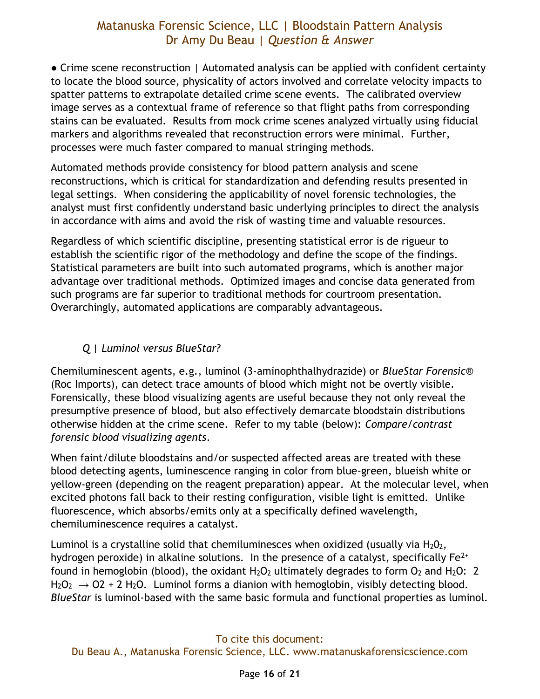● Crime scene reconstruction | Automated analysis can be applied with confident certainty to locate the blood source, physicality of actors involved and correlate velocity impacts to spatter patterns to extrapolate detailed crime scene events. The calibrated overview image serves as a contextual frame of reference so that flight paths from corresponding stains can be evaluated. Results from mock crime scenes analyzed virtually using fiducial markers and algorithms revealed that reconstruction errors were minimal. Further, processes were much faster compared to manual stringing methods.

Automated methods provide consistency for blood pattern analysis and scene reconstructions, which is critical for standardization and defending results presented in legal settings. When considering the applicability of novel forensic technologies, the analyst must first confidently understand basic underlying principles to direct the analysis in accordance with aims and avoid the risk of wasting time and valuable resources.

Regardless of which scientific discipline, presenting statistical error is de rigueur to establish the scientific rigor of the methodology and define the scope of the findings. Statistical parameters are built into such automated programs, which is another major advantage over traditional methods. Optimized images and concise data generated from such programs are far superior to traditional methods for courtroom presentation. Overarchingly, automated applications are comparably advantageous.

#### *Q | Luminol versus BlueStar?*

<span id="page-15-0"></span>Chemiluminescent agents, e.g., luminol (3-aminophthalhydrazide) or *BlueStar Forensic*® (Roc Imports), can detect trace amounts of blood which might not be overtly visible. Forensically, these blood visualizing agents are useful because they not only reveal the presumptive presence of blood, but also effectively demarcate bloodstain distributions otherwise hidden at the crime scene. Refer to my table (below): *Compare/contrast forensic blood visualizing agents*.

When faint/dilute bloodstains and/or suspected affected areas are treated with these blood detecting agents, luminescence ranging in color from blue-green, blueish white or yellow-green (depending on the reagent preparation) appear. At the molecular level, when excited photons fall back to their resting configuration, visible light is emitted. Unlike fluorescence, which absorbs/emits only at a specifically defined wavelength, chemiluminescence requires a catalyst.

Luminol is a crystalline solid that chemiluminesces when oxidized (usually via  $H_2O_2$ , hydrogen peroxide) in alkaline solutions. In the presence of a catalyst, specifically  $Fe^{2+}$ found in hemoglobin (blood), the oxidant  $H_2O_2$  ultimately degrades to form  $O_2$  and  $H_2O$ : 2  $H_2O_2 \rightarrow O2 + 2 H_2O$ . Luminol forms a dianion with hemoglobin, visibly detecting blood. *BlueStar* is luminol-based with the same basic formula and functional properties as luminol.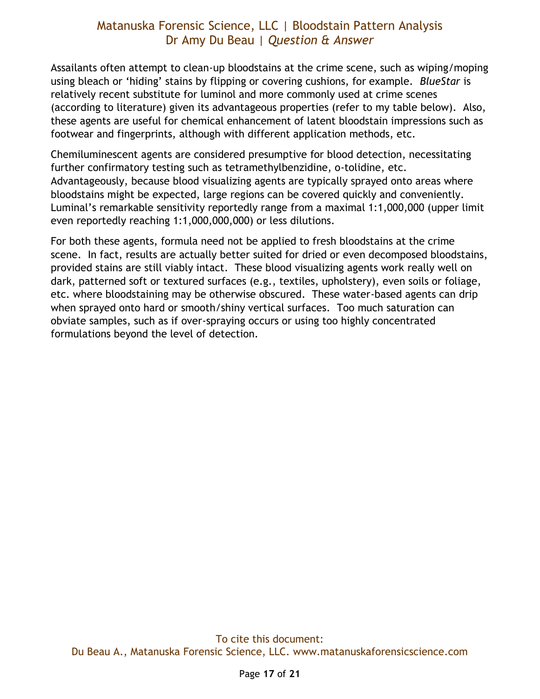Assailants often attempt to clean-up bloodstains at the crime scene, such as wiping/moping using bleach or 'hiding' stains by flipping or covering cushions, for example. *BlueStar* is relatively recent substitute for luminol and more commonly used at crime scenes (according to literature) given its advantageous properties (refer to my table below). Also, these agents are useful for chemical enhancement of latent bloodstain impressions such as footwear and fingerprints, although with different application methods, etc.

Chemiluminescent agents are considered presumptive for blood detection, necessitating further confirmatory testing such as tetramethylbenzidine, o-tolidine, etc. Advantageously, because blood visualizing agents are typically sprayed onto areas where bloodstains might be expected, large regions can be covered quickly and conveniently. Luminal's remarkable sensitivity reportedly range from a maximal 1:1,000,000 (upper limit even reportedly reaching 1:1,000,000,000) or less dilutions.

For both these agents, formula need not be applied to fresh bloodstains at the crime scene. In fact, results are actually better suited for dried or even decomposed bloodstains, provided stains are still viably intact. These blood visualizing agents work really well on dark, patterned soft or textured surfaces (e.g., textiles, upholstery), even soils or foliage, etc. where bloodstaining may be otherwise obscured. These water-based agents can drip when sprayed onto hard or smooth/shiny vertical surfaces. Too much saturation can obviate samples, such as if over-spraying occurs or using too highly concentrated formulations beyond the level of detection.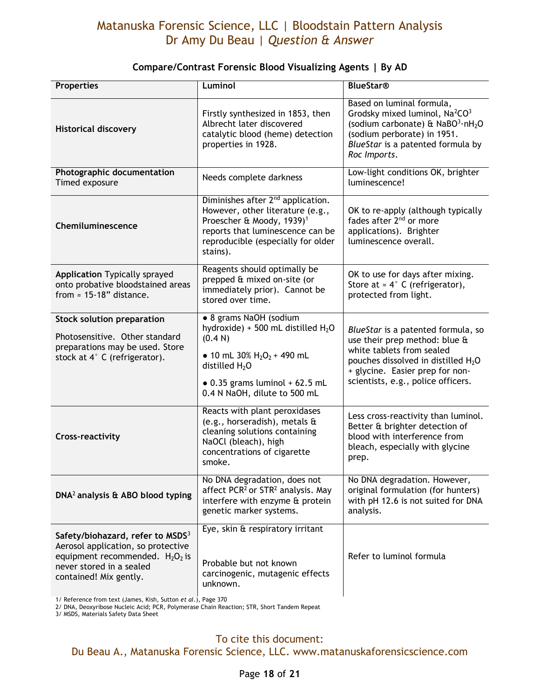| <b>Properties</b>                                                                                                                                                              | Luminol                                                                                                                                                                                                          | <b>BlueStar®</b>                                                                                                                                                                                                             |
|--------------------------------------------------------------------------------------------------------------------------------------------------------------------------------|------------------------------------------------------------------------------------------------------------------------------------------------------------------------------------------------------------------|------------------------------------------------------------------------------------------------------------------------------------------------------------------------------------------------------------------------------|
| <b>Historical discovery</b>                                                                                                                                                    | Firstly synthesized in 1853, then<br>Albrecht later discovered<br>catalytic blood (heme) detection<br>properties in 1928.                                                                                        | Based on luminal formula,<br>Grodsky mixed luminol, Na <sup>2</sup> CO <sup>3</sup><br>(sodium carbonate) & NaBO3.nH <sub>2</sub> O<br>(sodium perborate) in 1951.<br>BlueStar is a patented formula by<br>Roc Imports.      |
| Photographic documentation<br>Timed exposure                                                                                                                                   | Needs complete darkness                                                                                                                                                                                          | Low-light conditions OK, brighter<br>luminescence!                                                                                                                                                                           |
| Chemiluminescence                                                                                                                                                              | Diminishes after 2 <sup>nd</sup> application.<br>However, other literature (e.g.,<br>Proescher & Moody, 1939) <sup>1</sup><br>reports that luminescence can be<br>reproducible (especially for older<br>stains). | OK to re-apply (although typically<br>fades after 2 <sup>nd</sup> or more<br>applications). Brighter<br>luminescence overall.                                                                                                |
| <b>Application Typically sprayed</b><br>onto probative bloodstained areas<br>from $\approx$ 15-18" distance.                                                                   | Reagents should optimally be<br>prepped & mixed on-site (or<br>immediately prior). Cannot be<br>stored over time.                                                                                                | OK to use for days after mixing.<br>Store at $\approx 4^{\circ}$ C (refrigerator),<br>protected from light.                                                                                                                  |
| <b>Stock solution preparation</b><br>Photosensitive. Other standard<br>preparations may be used. Store<br>stock at 4° C (refrigerator).                                        | · 8 grams NaOH (sodium<br>hydroxide) + 500 mL distilled $H_2O$<br>(0.4 N)<br>• 10 mL 30% $H_2O_2$ + 490 mL<br>distilled $H_2O$<br>$\bullet$ 0.35 grams luminol + 62.5 mL<br>0.4 N NaOH, dilute to 500 mL         | BlueStar is a patented formula, so<br>use their prep method: blue &<br>white tablets from sealed<br>pouches dissolved in distilled H <sub>2</sub> O<br>+ glycine. Easier prep for non-<br>scientists, e.g., police officers. |
| <b>Cross-reactivity</b>                                                                                                                                                        | Reacts with plant peroxidases<br>(e.g., horseradish), metals $\mathbf{\hat{a}}$<br>cleaning solutions containing<br>NaOCl (bleach), high<br>concentrations of cigarette<br>smoke.                                | Less cross-reactivity than luminol.<br>Better & brighter detection of<br>blood with interference from<br>bleach, especially with glycine<br>prep.                                                                            |
| DNA <sup>2</sup> analysis & ABO blood typing                                                                                                                                   | No DNA degradation, does not<br>affect PCR <sup>2</sup> or STR <sup>2</sup> analysis. May<br>interfere with enzyme & protein<br>genetic marker systems.                                                          | No DNA degradation. However,<br>original formulation (for hunters)<br>with pH 12.6 is not suited for DNA<br>analysis.                                                                                                        |
| Safety/biohazard, refer to MSDS <sup>3</sup><br>Aerosol application, so protective<br>equipment recommended. $H_2O_2$ is<br>never stored in a sealed<br>contained! Mix gently. | Eye, skin & respiratory irritant<br>Probable but not known<br>carcinogenic, mutagenic effects<br>unknown.                                                                                                        | Refer to luminol formula                                                                                                                                                                                                     |

#### **Compare/Contrast Forensic Blood Visualizing Agents | By AD**

1/ Reference from text (James, Kish, Sutton *et al*.), Page 370

2/ DNA, Deoxyribose Nucleic Acid; PCR, Polymerase Chain Reaction; STR, Short Tandem Repeat

3/ MSDS, Materials Safety Data Sheet

To cite this document: Du Beau A., Matanuska Forensic Science, LLC. www.matanuskaforensicscience.com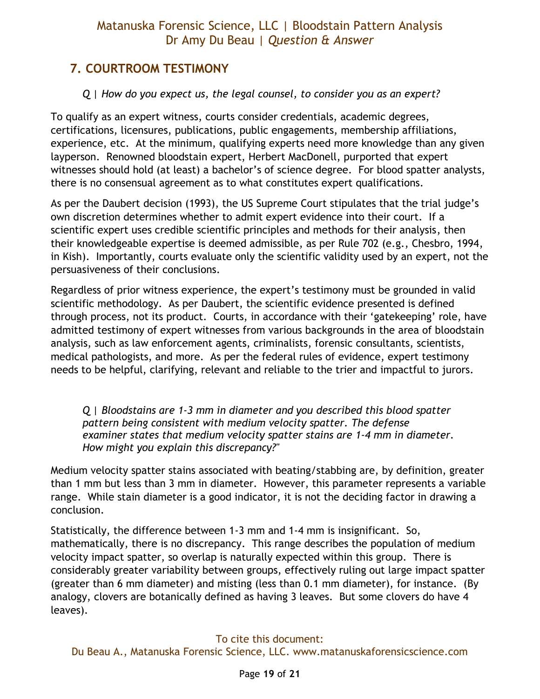# <span id="page-18-0"></span>**7. COURTROOM TESTIMONY**

### *Q | How do you expect us, the legal counsel, to consider you as an expert?*

<span id="page-18-1"></span>To qualify as an expert witness, courts consider credentials, academic degrees, certifications, licensures, publications, public engagements, membership affiliations, experience, etc. At the minimum, qualifying experts need more knowledge than any given layperson. Renowned bloodstain expert, Herbert MacDonell, purported that expert witnesses should hold (at least) a bachelor's of science degree. For blood spatter analysts, there is no consensual agreement as to what constitutes expert qualifications.

As per the Daubert decision (1993), the US Supreme Court stipulates that the trial judge's own discretion determines whether to admit expert evidence into their court. If a scientific expert uses credible scientific principles and methods for their analysis, then their knowledgeable expertise is deemed admissible, as per Rule 702 (e.g., Chesbro, 1994, in Kish). Importantly, courts evaluate only the scientific validity used by an expert, not the persuasiveness of their conclusions.

Regardless of prior witness experience, the expert's testimony must be grounded in valid scientific methodology. As per Daubert, the scientific evidence presented is defined through process, not its product. Courts, in accordance with their 'gatekeeping' role, have admitted testimony of expert witnesses from various backgrounds in the area of bloodstain analysis, such as law enforcement agents, criminalists, forensic consultants, scientists, medical pathologists, and more. As per the federal rules of evidence, expert testimony needs to be helpful, clarifying, relevant and reliable to the trier and impactful to jurors.

<span id="page-18-2"></span>*Q | Bloodstains are 1-3 mm in diameter and you described this blood spatter pattern being consistent with medium velocity spatter. The defense examiner states that medium velocity spatter stains are 1-4 mm in diameter. How might you explain this discrepancy?"* 

Medium velocity spatter stains associated with beating/stabbing are, by definition, greater than 1 mm but less than 3 mm in diameter. However, this parameter represents a variable range. While stain diameter is a good indicator, it is not the deciding factor in drawing a conclusion.

Statistically, the difference between 1-3 mm and 1-4 mm is insignificant. So, mathematically, there is no discrepancy. This range describes the population of medium velocity impact spatter, so overlap is naturally expected within this group. There is considerably greater variability between groups, effectively ruling out large impact spatter (greater than 6 mm diameter) and misting (less than 0.1 mm diameter), for instance. (By analogy, clovers are botanically defined as having 3 leaves. But some clovers do have 4 leaves).

#### To cite this document: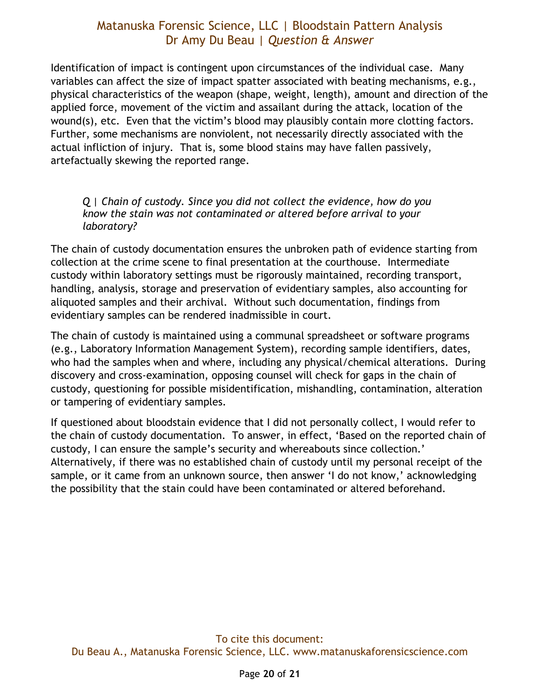Identification of impact is contingent upon circumstances of the individual case. Many variables can affect the size of impact spatter associated with beating mechanisms, e.g., physical characteristics of the weapon (shape, weight, length), amount and direction of the applied force, movement of the victim and assailant during the attack, location of the wound(s), etc. Even that the victim's blood may plausibly contain more clotting factors. Further, some mechanisms are nonviolent, not necessarily directly associated with the actual infliction of injury. That is, some blood stains may have fallen passively, artefactually skewing the reported range.

#### <span id="page-19-0"></span>*Q | Chain of custody. Since you did not collect the evidence, how do you know the stain was not contaminated or altered before arrival to your laboratory?*

The chain of custody documentation ensures the unbroken path of evidence starting from collection at the crime scene to final presentation at the courthouse. Intermediate custody within laboratory settings must be rigorously maintained, recording transport, handling, analysis, storage and preservation of evidentiary samples, also accounting for aliquoted samples and their archival. Without such documentation, findings from evidentiary samples can be rendered inadmissible in court.

The chain of custody is maintained using a communal spreadsheet or software programs (e.g., Laboratory Information Management System), recording sample identifiers, dates, who had the samples when and where, including any physical/chemical alterations. During discovery and cross-examination, opposing counsel will check for gaps in the chain of custody, questioning for possible misidentification, mishandling, contamination, alteration or tampering of evidentiary samples.

If questioned about bloodstain evidence that I did not personally collect, I would refer to the chain of custody documentation. To answer, in effect, 'Based on the reported chain of custody, I can ensure the sample's security and whereabouts since collection.' Alternatively, if there was no established chain of custody until my personal receipt of the sample, or it came from an unknown source, then answer 'I do not know,' acknowledging the possibility that the stain could have been contaminated or altered beforehand.